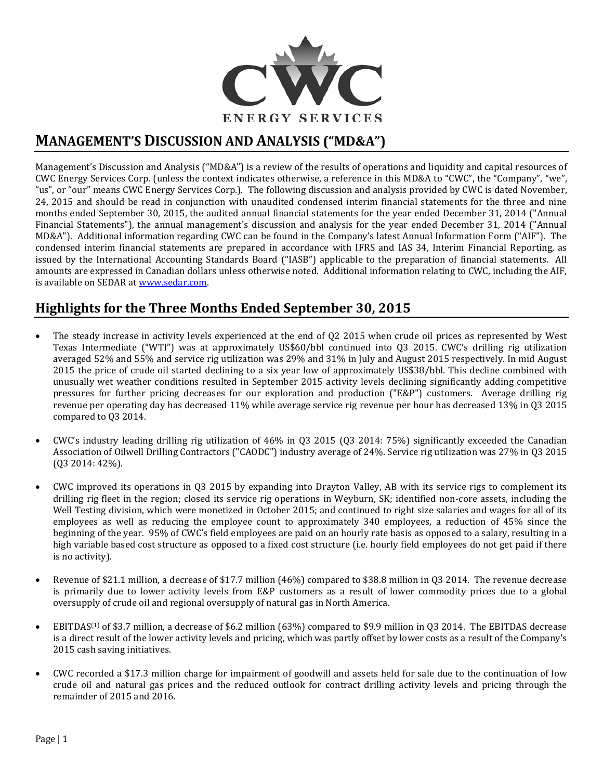

# **MANAGEMENT'S DISCUSSION AND ANALYSIS ("MD&A")**

Management's Discussion and Analysis ("MD&A") is a review of the results of operations and liquidity and capital resources of CWC Energy Services Corp. (unless the context indicates otherwise, a reference in this MD&A to "CWC", the "Company", "we", "us", or "our" means CWC Energy Services Corp.). The following discussion and analysis provided by CWC is dated November, 24, 2015 and should be read in conjunction with unaudited condensed interim financial statements for the three and nine months ended September 30, 2015, the audited annual financial statements for the year ended December 31, 2014 ("Annual Financial Statements"), the annual management's discussion and analysis for the year ended December 31, 2014 ("Annual MD&A"). Additional information regarding CWC can be found in the Company's latest Annual Information Form ("AIF"). The condensed interim financial statements are prepared in accordance with IFRS and IAS 34, Interim Financial Reporting, as issued by the International Accounting Standards Board ("IASB") applicable to the preparation of financial statements. All amounts are expressed in Canadian dollars unless otherwise noted. Additional information relating to CWC, including the AIF, is available on SEDAR at [www.sedar.com.](http://www.sedar.com/)

# **Highlights for the Three Months Ended September 30, 2015**

- The steady increase in activity levels experienced at the end of Q2 2015 when crude oil prices as represented by West Texas Intermediate ("WTI") was at approximately US\$60/bbl continued into Q3 2015. CWC's drilling rig utilization averaged 52% and 55% and service rig utilization was 29% and 31% in July and August 2015 respectively. In mid August 2015 the price of crude oil started declining to a six year low of approximately US\$38/bbl. This decline combined with unusually wet weather conditions resulted in September 2015 activity levels declining significantly adding competitive pressures for further pricing decreases for our exploration and production ("E&P") customers. Average drilling rig revenue per operating day has decreased 11% while average service rig revenue per hour has decreased 13% in Q3 2015 compared to Q3 2014.
- CWC's industry leading drilling rig utilization of 46% in Q3 2015 (Q3 2014: 75%) significantly exceeded the Canadian Association of Oilwell Drilling Contractors ("CAODC") industry average of 24%. Service rig utilization was 27% in Q3 2015 (Q3 2014: 42%).
- CWC improved its operations in Q3 2015 by expanding into Drayton Valley, AB with its service rigs to complement its drilling rig fleet in the region; closed its service rig operations in Weyburn, SK; identified non-core assets, including the Well Testing division, which were monetized in October 2015; and continued to right size salaries and wages for all of its employees as well as reducing the employee count to approximately 340 employees, a reduction of 45% since the beginning of the year. 95% of CWC's field employees are paid on an hourly rate basis as opposed to a salary, resulting in a high variable based cost structure as opposed to a fixed cost structure (i.e. hourly field employees do not get paid if there is no activity).
- Revenue of \$21.1 million, a decrease of \$17.7 million (46%) compared to \$38.8 million in Q3 2014. The revenue decrease is primarily due to lower activity levels from E&P customers as a result of lower commodity prices due to a global oversupply of crude oil and regional oversupply of natural gas in North America.
- EBITDAS(1) of \$3.7 million, a decrease of \$6.2 million (63%) compared to \$9.9 million in Q3 2014. The EBITDAS decrease is a direct result of the lower activity levels and pricing, which was partly offset by lower costs as a result of the Company's 2015 cash saving initiatives.
- CWC recorded a \$17.3 million charge for impairment of goodwill and assets held for sale due to the continuation of low crude oil and natural gas prices and the reduced outlook for contract drilling activity levels and pricing through the remainder of 2015 and 2016.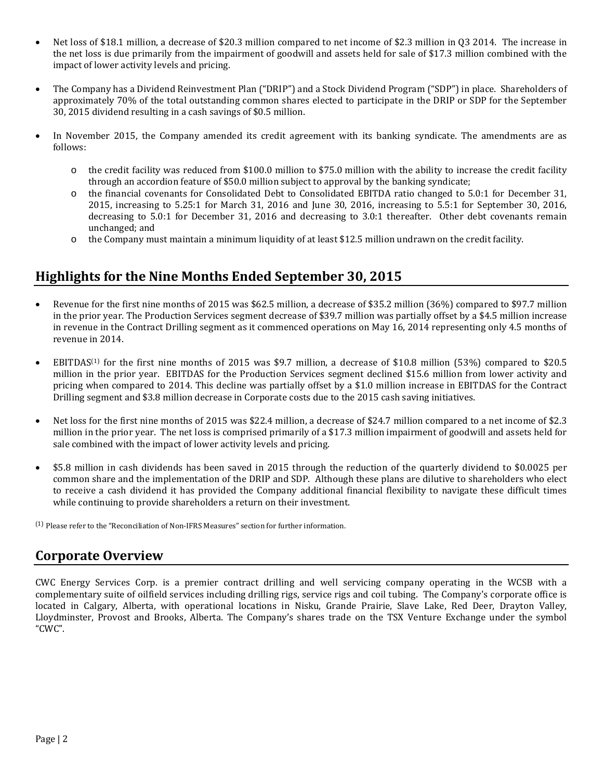- Net loss of \$18.1 million, a decrease of \$20.3 million compared to net income of \$2.3 million in Q3 2014. The increase in the net loss is due primarily from the impairment of goodwill and assets held for sale of \$17.3 million combined with the impact of lower activity levels and pricing.
- The Company has a Dividend Reinvestment Plan ("DRIP") and a Stock Dividend Program ("SDP") in place. Shareholders of approximately 70% of the total outstanding common shares elected to participate in the DRIP or SDP for the September 30, 2015 dividend resulting in a cash savings of \$0.5 million.
- In November 2015, the Company amended its credit agreement with its banking syndicate. The amendments are as follows:
	- o the credit facility was reduced from \$100.0 million to \$75.0 million with the ability to increase the credit facility through an accordion feature of \$50.0 million subject to approval by the banking syndicate;
	- o the financial covenants for Consolidated Debt to Consolidated EBITDA ratio changed to 5.0:1 for December 31, 2015, increasing to 5.25:1 for March 31, 2016 and June 30, 2016, increasing to 5.5:1 for September 30, 2016, decreasing to 5.0:1 for December 31, 2016 and decreasing to 3.0:1 thereafter. Other debt covenants remain unchanged; and
	- $\circ$  the Company must maintain a minimum liquidity of at least \$12.5 million undrawn on the credit facility.

### **Highlights for the Nine Months Ended September 30, 2015**

- Revenue for the first nine months of 2015 was \$62.5 million, a decrease of \$35.2 million (36%) compared to \$97.7 million in the prior year. The Production Services segment decrease of \$39.7 million was partially offset by a \$4.5 million increase in revenue in the Contract Drilling segment as it commenced operations on May 16, 2014 representing only 4.5 months of revenue in 2014.
- EBITDAS<sup>(1)</sup> for the first nine months of 2015 was \$9.7 million, a decrease of \$10.8 million (53%) compared to \$20.5 million in the prior year. EBITDAS for the Production Services segment declined \$15.6 million from lower activity and pricing when compared to 2014. This decline was partially offset by a \$1.0 million increase in EBITDAS for the Contract Drilling segment and \$3.8 million decrease in Corporate costs due to the 2015 cash saving initiatives.
- Net loss for the first nine months of 2015 was \$22.4 million, a decrease of \$24.7 million compared to a net income of \$2.3 million in the prior year. The net loss is comprised primarily of a \$17.3 million impairment of goodwill and assets held for sale combined with the impact of lower activity levels and pricing.
- \$5.8 million in cash dividends has been saved in 2015 through the reduction of the quarterly dividend to \$0.0025 per common share and the implementation of the DRIP and SDP. Although these plans are dilutive to shareholders who elect to receive a cash dividend it has provided the Company additional financial flexibility to navigate these difficult times while continuing to provide shareholders a return on their investment.

(1) Please refer to the "Reconciliation of Non-IFRS Measures" section for further information.

### **Corporate Overview**

CWC Energy Services Corp. is a premier contract drilling and well servicing company operating in the WCSB with a complementary suite of oilfield services including drilling rigs, service rigs and coil tubing. The Company's corporate office is located in Calgary, Alberta, with operational locations in Nisku, Grande Prairie, Slave Lake, Red Deer, Drayton Valley, Lloydminster, Provost and Brooks, Alberta. The Company's shares trade on the TSX Venture Exchange under the symbol "CWC".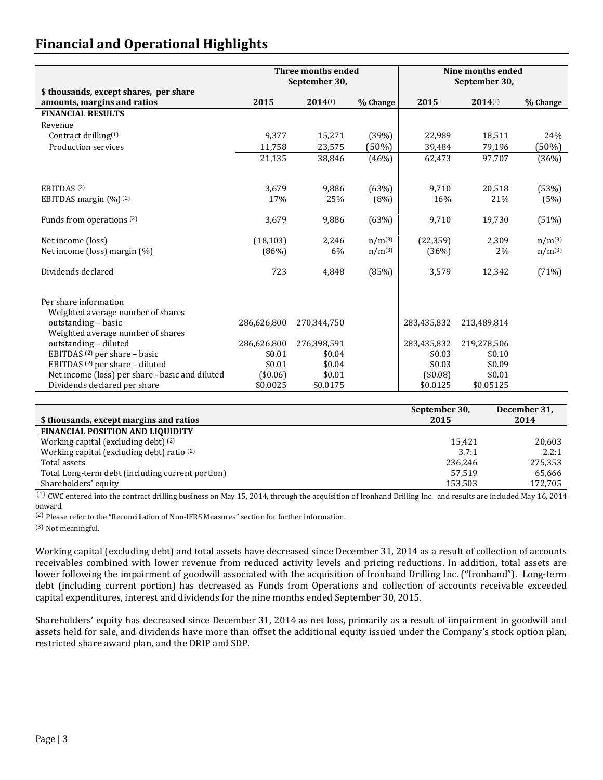# **Financial and Operational Highlights**

|                                                                       |             | Three months ended<br>September 30, |             | Nine months ended<br>September 30, |              |             |
|-----------------------------------------------------------------------|-------------|-------------------------------------|-------------|------------------------------------|--------------|-------------|
| \$ thousands, except shares, per share<br>amounts, margins and ratios | 2015        | $2014^{(1)}$                        | % Change    | 2015                               | $2014^{(1)}$ | % Change    |
| <b>FINANCIAL RESULTS</b>                                              |             |                                     |             |                                    |              |             |
| Revenue                                                               |             |                                     |             |                                    |              |             |
| Contract drilling <sup>(1)</sup>                                      | 9,377       | 15,271                              | (39%)       | 22,989                             | 18,511       | 24%         |
| Production services                                                   | 11,758      | 23,575                              | (50%)       | 39,484                             | 79,196       | (50%)       |
|                                                                       | 21,135      | 38,846                              | (46%)       | 62,473                             | 97,707       | (36%)       |
|                                                                       |             |                                     |             |                                    |              |             |
| EBITDAS <sup>(2)</sup>                                                | 3,679       | 9,886                               | (63%)       | 9,710                              | 20,518       | (53%)       |
| EBITDAS margin (%) <sup>(2)</sup>                                     | 17%         | 25%                                 | (8%)        | 16%                                | 21%          | (5%)        |
| Funds from operations (2)                                             | 3,679       | 9,886                               | (63%)       | 9,710                              | 19,730       | (51%)       |
| Net income (loss)                                                     | (18, 103)   | 2,246                               | $n/m^{(3)}$ | (22, 359)                          | 2,309        | $n/m^{(3)}$ |
| Net income (loss) margin (%)                                          | (86%)       | 6%                                  | $n/m^{(3)}$ | (36%)                              | 2%           | $n/m^{(3)}$ |
| Dividends declared                                                    | 723         | 4,848                               | (85%)       | 3,579                              | 12,342       | (71%)       |
| Per share information                                                 |             |                                     |             |                                    |              |             |
| Weighted average number of shares                                     |             |                                     |             |                                    |              |             |
| outstanding - basic                                                   | 286,626,800 | 270,344,750                         |             | 283,435,832                        | 213,489,814  |             |
| Weighted average number of shares<br>outstanding - diluted            | 286,626,800 | 276,398,591                         |             | 283,435,832                        | 219,278,506  |             |
| EBITDAS <sup>(2)</sup> per share - basic                              | \$0.01      | \$0.04                              |             | \$0.03                             | \$0.10       |             |
| EBITDAS <sup>(2)</sup> per share - diluted                            | \$0.01      | \$0.04                              |             | \$0.03                             | \$0.09       |             |
| Net income (loss) per share - basic and diluted                       | (\$0.06)    | \$0.01                              |             | (\$0.08)                           | \$0.01       |             |
| Dividends declared per share                                          | \$0.0025    | \$0.0175                            |             | \$0.0125                           | \$0.05125    |             |

| \$ thousands, except margins and ratios          | September 30,<br>2015 | December 31,<br>2014 |
|--------------------------------------------------|-----------------------|----------------------|
| <b>FINANCIAL POSITION AND LIQUIDITY</b>          |                       |                      |
| Working capital (excluding debt) (2)             | 15.421                | 20,603               |
| Working capital (excluding debt) ratio (2)       | 3.7:1                 | 2.2:1                |
| Total assets                                     | 236.246               | 275,353              |
| Total Long-term debt (including current portion) | 57.519                | 65,666               |
| Shareholders' equity                             | 153,503               | 172,705              |

(1) CWC entered into the contract drilling business on May 15, 2014, through the acquisition of Ironhand Drilling Inc. and results are included May 16, 2014 onward.

(2) Please refer to the "Reconciliation of Non-IFRS Measures" section for further information.

(3) Not meaningful.

Working capital (excluding debt) and total assets have decreased since December 31, 2014 as a result of collection of accounts receivables combined with lower revenue from reduced activity levels and pricing reductions. In addition, total assets are lower following the impairment of goodwill associated with the acquisition of Ironhand Drilling Inc. ("Ironhand"). Long-term debt (including current portion) has decreased as Funds from Operations and collection of accounts receivable exceeded capital expenditures, interest and dividends for the nine months ended September 30, 2015.

Shareholders' equity has decreased since December 31, 2014 as net loss, primarily as a result of impairment in goodwill and assets held for sale, and dividends have more than offset the additional equity issued under the Company's stock option plan, restricted share award plan, and the DRIP and SDP.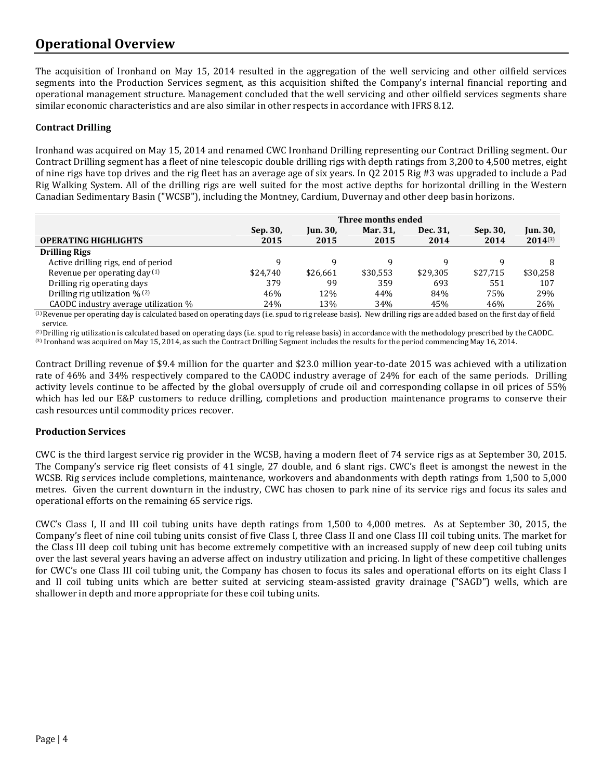## **Operational Overview**

The acquisition of Ironhand on May 15, 2014 resulted in the aggregation of the well servicing and other oilfield services segments into the Production Services segment, as this acquisition shifted the Company's internal financial reporting and operational management structure. Management concluded that the well servicing and other oilfield services segments share similar economic characteristics and are also similar in other respects in accordance with IFRS 8.12.

### **Contract Drilling**

Ironhand was acquired on May 15, 2014 and renamed CWC Ironhand Drilling representing our Contract Drilling segment. Our Contract Drilling segment has a fleet of nine telescopic double drilling rigs with depth ratings from 3,200 to 4,500 metres, eight of nine rigs have top drives and the rig fleet has an average age of six years. In Q2 2015 Rig #3 was upgraded to include a Pad Rig Walking System. All of the drilling rigs are well suited for the most active depths for horizontal drilling in the Western Canadian Sedimentary Basin ("WCSB"), including the Montney, Cardium, Duvernay and other deep basin horizons.

|                                            | Three months ended |                 |          |          |          |                 |  |  |  |
|--------------------------------------------|--------------------|-----------------|----------|----------|----------|-----------------|--|--|--|
|                                            | Sep. 30,           | <b>Jun. 30,</b> | Mar. 31, | Dec. 31, | Sep. 30, | <b>Jun. 30,</b> |  |  |  |
| <b>OPERATING HIGHLIGHTS</b>                | 2015               | 2015            | 2015     | 2014     | 2014     | $2014^{(3)}$    |  |  |  |
| <b>Drilling Rigs</b>                       |                    |                 |          |          |          |                 |  |  |  |
| Active drilling rigs, end of period        | a                  |                 |          |          |          |                 |  |  |  |
| Revenue per operating day $(1)$            | \$24.740           | \$26.661        | \$30.553 | \$29.305 | \$27.715 | \$30,258        |  |  |  |
| Drilling rig operating days                | 379                | 99              | 359      | 693      | 551      | 107             |  |  |  |
| Drilling rig utilization $\frac{1}{2}$ (2) | 46%                | 12%             | 44%      | 84%      | 75%      | 29%             |  |  |  |
| CAODC industry average utilization %       | 24%                | 13%             | 34%      | 45%      | 46%      | 26%             |  |  |  |

(1) Revenue per operating day is calculated based on operating days (i.e. spud to rig release basis). New drilling rigs are added based on the first day of field service.

(2)Drilling rig utilization is calculated based on operating days (i.e. spud to rig release basis) in accordance with the methodology prescribed by the CAODC. (3) Ironhand was acquired on May 15, 2014, as such the Contract Drilling Segment includes the results for the period commencing May 16, 2014.

Contract Drilling revenue of \$9.4 million for the quarter and \$23.0 million year-to-date 2015 was achieved with a utilization rate of 46% and 34% respectively compared to the CAODC industry average of 24% for each of the same periods. Drilling activity levels continue to be affected by the global oversupply of crude oil and corresponding collapse in oil prices of 55% which has led our E&P customers to reduce drilling, completions and production maintenance programs to conserve their cash resources until commodity prices recover.

### **Production Services**

CWC is the third largest service rig provider in the WCSB, having a modern fleet of 74 service rigs as at September 30, 2015. The Company's service rig fleet consists of 41 single, 27 double, and 6 slant rigs. CWC's fleet is amongst the newest in the WCSB. Rig services include completions, maintenance, workovers and abandonments with depth ratings from 1,500 to 5,000 metres. Given the current downturn in the industry, CWC has chosen to park nine of its service rigs and focus its sales and operational efforts on the remaining 65 service rigs.

CWC's Class I, II and III coil tubing units have depth ratings from 1,500 to 4,000 metres. As at September 30, 2015, the Company's fleet of nine coil tubing units consist of five Class I, three Class II and one Class III coil tubing units. The market for the Class III deep coil tubing unit has become extremely competitive with an increased supply of new deep coil tubing units over the last several years having an adverse affect on industry utilization and pricing. In light of these competitive challenges for CWC's one Class III coil tubing unit, the Company has chosen to focus its sales and operational efforts on its eight Class I and II coil tubing units which are better suited at servicing steam-assisted gravity drainage ("SAGD") wells, which are shallower in depth and more appropriate for these coil tubing units.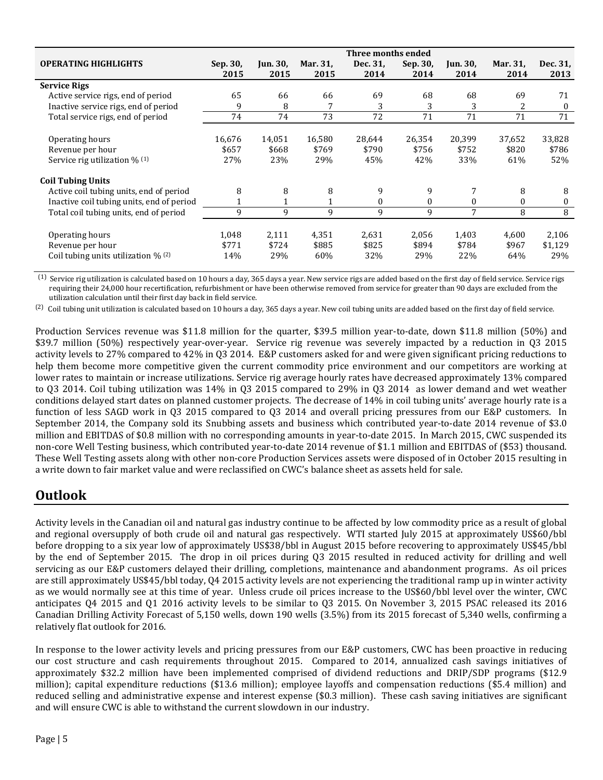|                                             |          |                 |              | Three months ended |          |          |          |                  |
|---------------------------------------------|----------|-----------------|--------------|--------------------|----------|----------|----------|------------------|
| <b>OPERATING HIGHLIGHTS</b>                 | Sep. 30, | <b>Jun. 30,</b> | Mar. 31,     | Dec. 31,           | Sep. 30, | Jun. 30, | Mar. 31, | Dec. 31,         |
|                                             | 2015     | 2015            | 2015         | 2014               | 2014     | 2014     | 2014     | 2013             |
| <b>Service Rigs</b>                         |          |                 |              |                    |          |          |          |                  |
| Active service rigs, end of period          | 65       | 66              | 66           | 69                 | 68       | 68       | 69       | 71               |
| Inactive service rigs, end of period        | 9        | 8               |              | 3                  | 3        | 3        | 2        | $\theta$         |
| Total service rigs, end of period           | 74       | 74              | 73           | 72                 | 71       | 71       | 71       | 71               |
|                                             |          |                 |              |                    |          |          |          |                  |
| Operating hours                             | 16,676   | 14,051          | 16,580       | 28,644             | 26,354   | 20,399   | 37,652   | 33,828           |
| Revenue per hour                            | \$657    | \$668           | \$769        | \$790              | \$756    | \$752    | \$820    | \$786            |
| Service rig utilization $\%$ <sup>(1)</sup> | 27%      | 23%             | 29%          | 45%                | 42%      | 33%      | 61%      | 52%              |
| <b>Coil Tubing Units</b>                    |          |                 |              |                    |          |          |          |                  |
| Active coil tubing units, end of period     | 8        | 8               | 8            | 9                  | 9        |          | 8        | 8                |
| Inactive coil tubing units, end of period   |          | 1               | $\mathbf{1}$ | $\theta$           | $\theta$ | 0        | $\theta$ | $\boldsymbol{0}$ |
| Total coil tubing units, end of period      | 9        | 9               | 9            | 9                  | 9        | 7        | 8        | 8                |
|                                             |          |                 |              |                    |          |          |          |                  |
| Operating hours                             | 1,048    | 2,111           | 4,351        | 2,631              | 2,056    | 1,403    | 4,600    | 2,106            |
| Revenue per hour                            | \$771    | \$724           | \$885        | \$825              | \$894    | \$784    | \$967    | \$1,129          |
| Coil tubing units utilization $\%$ (2)      | 14%      | 29%             | 60%          | 32%                | 29%      | 22%      | 64%      | 29%              |

 $<sup>(1)</sup>$  Service rig utilization is calculated based on 10 hours a day, 365 days a year. New service rigs are added based on the first day of field service. Service rigs</sup> requiring their 24,000 hour recertification, refurbishment or have been otherwise removed from service for greater than 90 days are excluded from the utilization calculation until their first day back in field service.

(2) Coil tubing unit utilization is calculated based on 10 hours a day, 365 days a year. New coil tubing units are added based on the first day of field service.

Production Services revenue was \$11.8 million for the quarter, \$39.5 million year-to-date, down \$11.8 million (50%) and \$39.7 million (50%) respectively year-over-year. Service rig revenue was severely impacted by a reduction in Q3 2015 activity levels to 27% compared to 42% in Q3 2014. E&P customers asked for and were given significant pricing reductions to help them become more competitive given the current commodity price environment and our competitors are working at lower rates to maintain or increase utilizations. Service rig average hourly rates have decreased approximately 13% compared to Q3 2014. Coil tubing utilization was 14% in Q3 2015 compared to 29% in Q3 2014 as lower demand and wet weather conditions delayed start dates on planned customer projects. The decrease of 14% in coil tubing units' average hourly rate is a function of less SAGD work in Q3 2015 compared to Q3 2014 and overall pricing pressures from our E&P customers. In September 2014, the Company sold its Snubbing assets and business which contributed year-to-date 2014 revenue of \$3.0 million and EBITDAS of \$0.8 million with no corresponding amounts in year-to-date 2015. In March 2015, CWC suspended its non-core Well Testing business, which contributed year-to-date 2014 revenue of \$1.1 million and EBITDAS of (\$53) thousand. These Well Testing assets along with other non-core Production Services assets were disposed of in October 2015 resulting in a write down to fair market value and were reclassified on CWC's balance sheet as assets held for sale.

## **Outlook**

Activity levels in the Canadian oil and natural gas industry continue to be affected by low commodity price as a result of global and regional oversupply of both crude oil and natural gas respectively. WTI started July 2015 at approximately US\$60/bbl before dropping to a six year low of approximately US\$38/bbl in August 2015 before recovering to approximately US\$45/bbl by the end of September 2015. The drop in oil prices during Q3 2015 resulted in reduced activity for drilling and well servicing as our E&P customers delayed their drilling, completions, maintenance and abandonment programs. As oil prices are still approximately US\$45/bbl today, Q4 2015 activity levels are not experiencing the traditional ramp up in winter activity as we would normally see at this time of year. Unless crude oil prices increase to the US\$60/bbl level over the winter, CWC anticipates Q4 2015 and Q1 2016 activity levels to be similar to Q3 2015. On November 3, 2015 PSAC released its 2016 Canadian Drilling Activity Forecast of 5,150 wells, down 190 wells (3.5%) from its 2015 forecast of 5,340 wells, confirming a relatively flat outlook for 2016.

In response to the lower activity levels and pricing pressures from our E&P customers, CWC has been proactive in reducing our cost structure and cash requirements throughout 2015. Compared to 2014, annualized cash savings initiatives of approximately \$32.2 million have been implemented comprised of dividend reductions and DRIP/SDP programs (\$12.9 million); capital expenditure reductions (\$13.6 million); employee layoffs and compensation reductions (\$5.4 million) and reduced selling and administrative expense and interest expense (\$0.3 million). These cash saving initiatives are significant and will ensure CWC is able to withstand the current slowdown in our industry.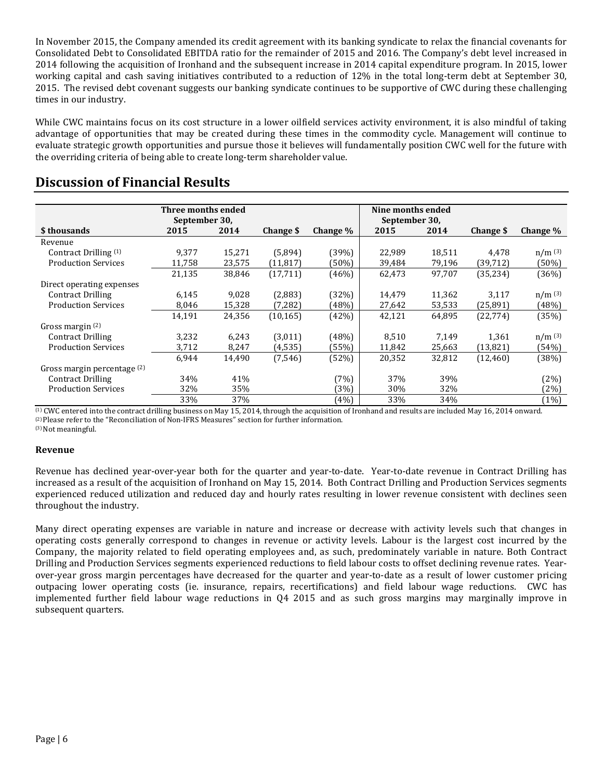In November 2015, the Company amended its credit agreement with its banking syndicate to relax the financial covenants for Consolidated Debt to Consolidated EBITDA ratio for the remainder of 2015 and 2016. The Company's debt level increased in 2014 following the acquisition of Ironhand and the subsequent increase in 2014 capital expenditure program. In 2015, lower working capital and cash saving initiatives contributed to a reduction of 12% in the total long-term debt at September 30, 2015. The revised debt covenant suggests our banking syndicate continues to be supportive of CWC during these challenging times in our industry.

While CWC maintains focus on its cost structure in a lower oilfield services activity environment, it is also mindful of taking advantage of opportunities that may be created during these times in the commodity cycle. Management will continue to evaluate strategic growth opportunities and pursue those it believes will fundamentally position CWC well for the future with the overriding criteria of being able to create long-term shareholder value.

|                             | Three months ended |        |           |             | Nine months ended |        |           |             |
|-----------------------------|--------------------|--------|-----------|-------------|-------------------|--------|-----------|-------------|
|                             | September 30,      |        |           |             | September 30,     |        |           |             |
| \$ thousands                | 2015               | 2014   | Change \$ | Change $\%$ | 2015              | 2014   | Change \$ | Change $\%$ |
| Revenue                     |                    |        |           |             |                   |        |           |             |
| Contract Drilling (1)       | 9,377              | 15,271 | (5,894)   | (39%)       | 22,989            | 18,511 | 4,478     | $n/m$ (3)   |
| <b>Production Services</b>  | 11,758             | 23,575 | (11, 817) | (50%)       | 39,484            | 79,196 | (39,712)  | (50%)       |
|                             | 21,135             | 38,846 | (17, 711) | (46%)       | 62,473            | 97,707 | (35, 234) | (36%)       |
| Direct operating expenses   |                    |        |           |             |                   |        |           |             |
| <b>Contract Drilling</b>    | 6,145              | 9.028  | (2,883)   | (32%)       | 14,479            | 11,362 | 3,117     | $n/m^{(3)}$ |
| <b>Production Services</b>  | 8,046              | 15,328 | (7, 282)  | (48%)       | 27,642            | 53,533 | (25,891)  | (48%)       |
|                             | 14,191             | 24,356 | (10, 165) | (42%)       | 42,121            | 64,895 | (22, 774) | (35%)       |
| Gross margin $(2)$          |                    |        |           |             |                   |        |           |             |
| <b>Contract Drilling</b>    | 3,232              | 6,243  | (3,011)   | (48%)       | 8,510             | 7,149  | 1,361     | $n/m^{(3)}$ |
| <b>Production Services</b>  | 3,712              | 8,247  | (4, 535)  | (55%)       | 11,842            | 25,663 | (13, 821) | (54%)       |
|                             | 6,944              | 14,490 | (7,546)   | (52%)       | 20,352            | 32,812 | (12, 460) | (38%)       |
| Gross margin percentage (2) |                    |        |           |             |                   |        |           |             |
| <b>Contract Drilling</b>    | 34%                | 41%    |           | (7%)        | 37%               | 39%    |           | (2%)        |
| <b>Production Services</b>  | 32%                | 35%    |           | (3%)        | 30%               | 32%    |           | (2%)        |
|                             | 33%                | 37%    |           | (4%)        | 33%               | 34%    |           | (1%)        |
|                             |                    |        |           |             |                   |        | .         |             |

### **Discussion of Financial Results**

(1) CWC entered into the contract drilling business on May 15, 2014, through the acquisition of Ironhand and results are included May 16, 2014 onward. (2) Please refer to the "Reconciliation of Non-IFRS Measures" section for further information. (3) Not meaningful.

#### **Revenue**

Revenue has declined year-over-year both for the quarter and year-to-date. Year-to-date revenue in Contract Drilling has increased as a result of the acquisition of Ironhand on May 15, 2014. Both Contract Drilling and Production Services segments experienced reduced utilization and reduced day and hourly rates resulting in lower revenue consistent with declines seen throughout the industry.

Many direct operating expenses are variable in nature and increase or decrease with activity levels such that changes in operating costs generally correspond to changes in revenue or activity levels. Labour is the largest cost incurred by the Company, the majority related to field operating employees and, as such, predominately variable in nature. Both Contract Drilling and Production Services segments experienced reductions to field labour costs to offset declining revenue rates. Yearover-year gross margin percentages have decreased for the quarter and year-to-date as a result of lower customer pricing outpacing lower operating costs (ie. insurance, repairs, recertifications) and field labour wage reductions. CWC has implemented further field labour wage reductions in Q4 2015 and as such gross margins may marginally improve in subsequent quarters.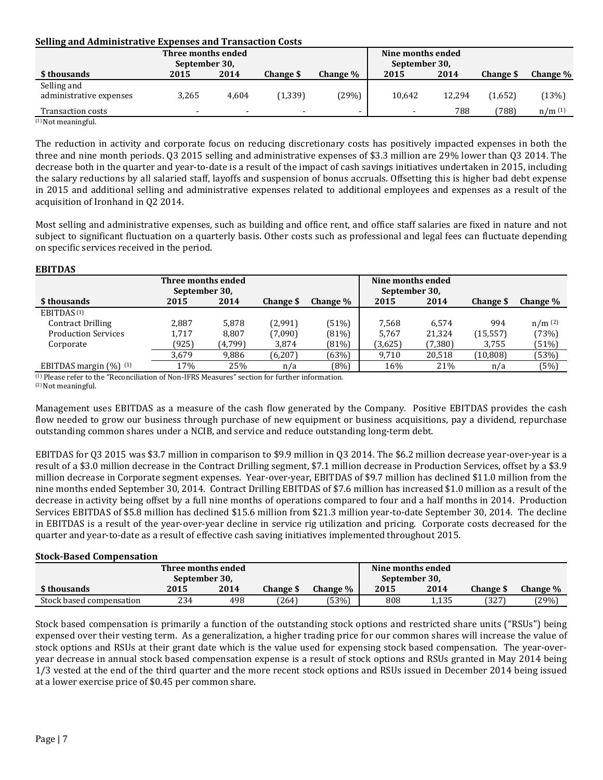#### **Selling and Administrative Expenses and Transaction Costs**

|                          | Three months ended       |                          |                          |          | Nine months ended |        |                 |          |
|--------------------------|--------------------------|--------------------------|--------------------------|----------|-------------------|--------|-----------------|----------|
|                          | September 30,            |                          |                          |          | September 30,     |        |                 |          |
| \$ thousands             | 2015                     | 2014                     | Change \$                | Change % | 2015              | 2014   | <b>Change S</b> | Change % |
| Selling and              |                          |                          |                          |          |                   |        |                 |          |
| administrative expenses  | 3,265                    | 4.604                    | (1, 339)                 | (29%)    | 10,642            | 12.294 | (1,652)         | (13%)    |
| <b>Transaction costs</b> | $\overline{\phantom{0}}$ | $\overline{\phantom{0}}$ | $\overline{\phantom{a}}$ |          |                   | 788    | (788)           | n/m(1)   |
| $(1)$ Not meaningful.    |                          |                          |                          |          |                   |        |                 |          |

The reduction in activity and corporate focus on reducing discretionary costs has positively impacted expenses in both the three and nine month periods. Q3 2015 selling and administrative expenses of \$3.3 million are 29% lower than Q3 2014. The decrease both in the quarter and year-to-date is a result of the impact of cash savings initiatives undertaken in 2015, including the salary reductions by all salaried staff, layoffs and suspension of bonus accruals. Offsetting this is higher bad debt expense in 2015 and additional selling and administrative expenses related to additional employees and expenses as a result of the acquisition of Ironhand in Q2 2014.

Most selling and administrative expenses, such as building and office rent, and office staff salaries are fixed in nature and not subject to significant fluctuation on a quarterly basis. Other costs such as professional and legal fees can fluctuate depending on specific services received in the period.

#### **EBITDAS**

| -------                             |       |         |           |          |                                    |         |           |             |
|-------------------------------------|-------|---------|-----------|----------|------------------------------------|---------|-----------|-------------|
| Three months ended<br>September 30, |       |         |           |          | Nine months ended<br>September 30, |         |           |             |
| \$ thousands                        | 2015  | 2014    | Change \$ | Change % | 2015                               | 2014    | Change \$ | Change %    |
| EBITDAS <sup>(1)</sup>              |       |         |           |          |                                    |         |           |             |
| <b>Contract Drilling</b>            | 2.887 | 5,878   | (2,991)   | (51%)    | 7.568                              | 6.574   | 994       | $n/m^{(2)}$ |
| <b>Production Services</b>          | 1,717 | 8.807   | (7,090)   | (81%)    | 5.767                              | 21,324  | (15, 557) | (73%)       |
| Corporate                           | (925) | (4,799) | 3,874     | (81%)    | (3,625)                            | (7,380) | 3,755     | (51%)       |
|                                     | 3,679 | 9,886   | (6,207)   | (63%)    | 9,710                              | 20,518  | (10, 808) | (53%)       |
| EBITDAS margin $(\%)$ $(1)$         | 17%   | 25%     | n/a       | (8%)     | 16%                                | 21%     | n/a       | (5%)        |

(1) Please refer to the "Reconciliation of Non-IFRS Measures" section for further information.

(2) Not meaningful.

Management uses EBITDAS as a measure of the cash flow generated by the Company. Positive EBITDAS provides the cash flow needed to grow our business through purchase of new equipment or business acquisitions, pay a dividend, repurchase outstanding common shares under a NCIB, and service and reduce outstanding long-term debt.

EBITDAS for Q3 2015 was \$3.7 million in comparison to \$9.9 million in Q3 2014. The \$6.2 million decrease year-over-year is a result of a \$3.0 million decrease in the Contract Drilling segment, \$7.1 million decrease in Production Services, offset by a \$3.9 million decrease in Corporate segment expenses. Year-over-year, EBITDAS of \$9.7 million has declined \$11.0 million from the nine months ended September 30, 2014. Contract Drilling EBITDAS of \$7.6 million has increased \$1.0 million as a result of the decrease in activity being offset by a full nine months of operations compared to four and a half months in 2014. Production Services EBITDAS of \$5.8 million has declined \$15.6 million from \$21.3 million year-to-date September 30, 2014. The decline in EBITDAS is a result of the year-over-year decline in service rig utilization and pricing. Corporate costs decreased for the quarter and year-to-date as a result of effective cash saving initiatives implemented throughout 2015.

#### **Stock-Based Compensation**

| Three months ended<br>September 30. |      |      |           |                 |      | Nine months ended<br>September 30. |                  |          |
|-------------------------------------|------|------|-----------|-----------------|------|------------------------------------|------------------|----------|
| \$ thousands                        | 2015 | 2014 | Change \$ | <b>Change</b> % | 2015 | 2014                               | <b>Change \$</b> | Change % |
| Stock based compensation            | 234  | 498  | (264)     | (53%)           | 808  | 1.135                              | (327             | (29%)    |

Stock based compensation is primarily a function of the outstanding stock options and restricted share units ("RSUs") being expensed over their vesting term. As a generalization, a higher trading price for our common shares will increase the value of stock options and RSUs at their grant date which is the value used for expensing stock based compensation. The year-overyear decrease in annual stock based compensation expense is a result of stock options and RSUs granted in May 2014 being 1/3 vested at the end of the third quarter and the more recent stock options and RSUs issued in December 2014 being issued at a lower exercise price of \$0.45 per common share.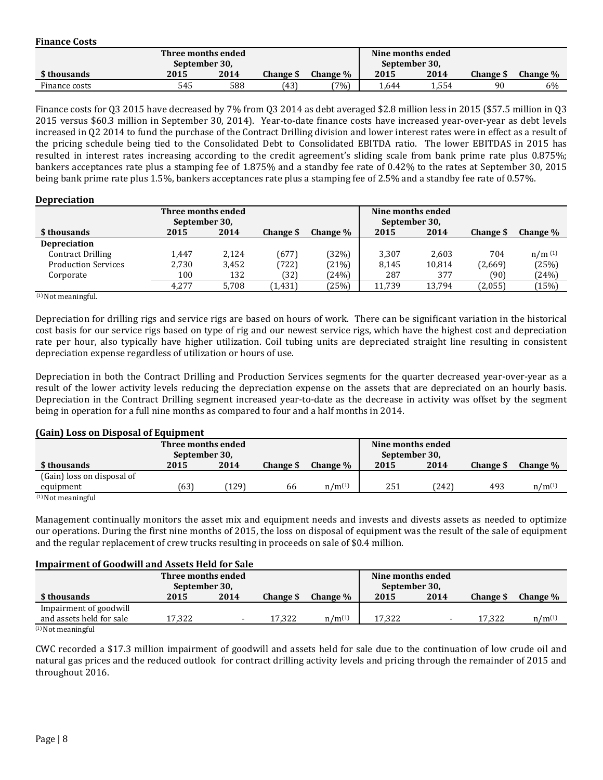| <b>Finance Costs</b> |                    |      |           |                 |                   |       |                  |          |
|----------------------|--------------------|------|-----------|-----------------|-------------------|-------|------------------|----------|
|                      | Three months ended |      |           |                 | Nine months ended |       |                  |          |
|                      | September 30,      |      |           |                 | September 30,     |       |                  |          |
| \$ thousands         | 2015               | 2014 | Change \$ | <b>Change</b> % | 2015              | 2014  | <b>Change \$</b> | Change % |
| Finance costs        | 545                | 588  | (43)      | (7%)            | 1.644             | 1,554 | 90               | 6%       |

Finance costs for Q3 2015 have decreased by 7% from Q3 2014 as debt averaged \$2.8 million less in 2015 (\$57.5 million in Q3 2015 versus \$60.3 million in September 30, 2014). Year-to-date finance costs have increased year-over-year as debt levels increased in Q2 2014 to fund the purchase of the Contract Drilling division and lower interest rates were in effect as a result of the pricing schedule being tied to the Consolidated Debt to Consolidated EBITDA ratio. The lower EBITDAS in 2015 has resulted in interest rates increasing according to the credit agreement's sliding scale from bank prime rate plus 0.875%; bankers acceptances rate plus a stamping fee of 1.875% and a standby fee rate of 0.42% to the rates at September 30, 2015 being bank prime rate plus 1.5%, bankers acceptances rate plus a stamping fee of 2.5% and a standby fee rate of 0.57%.

#### **Depreciation**

| Three months ended<br>September 30, |       |       |           |          | Nine months ended<br>September 30, |        |           |          |
|-------------------------------------|-------|-------|-----------|----------|------------------------------------|--------|-----------|----------|
| \$ thousands                        | 2015  | 2014  | Change \$ | Change % | 2015                               | 2014   | Change \$ | Change % |
| <b>Depreciation</b>                 |       |       |           |          |                                    |        |           |          |
| <b>Contract Drilling</b>            | 1,447 | 2,124 | (677)     | (32%)    | 3,307                              | 2,603  | 704       | n/m(1)   |
| <b>Production Services</b>          | 2.730 | 3,452 | (722)     | (21%)    | 8,145                              | 10,814 | (2,669)   | (25%)    |
| Corporate                           | 100   | 132   | (32)      | (24%)    | 287                                | 377    | (90)      | (24%)    |
|                                     | 4.277 | 5,708 | (1, 431)  | (25%)    | 11,739                             | 13,794 | (2,055)   | (15%)    |

 $(1)$  Not meaningful.

Depreciation for drilling rigs and service rigs are based on hours of work. There can be significant variation in the historical cost basis for our service rigs based on type of rig and our newest service rigs, which have the highest cost and depreciation rate per hour, also typically have higher utilization. Coil tubing units are depreciated straight line resulting in consistent depreciation expense regardless of utilization or hours of use.

Depreciation in both the Contract Drilling and Production Services segments for the quarter decreased year-over-year as a result of the lower activity levels reducing the depreciation expense on the assets that are depreciated on an hourly basis. Depreciation in the Contract Drilling segment increased year-to-date as the decrease in activity was offset by the segment being in operation for a full nine months as compared to four and a half months in 2014.

#### **(Gain) Loss on Disposal of Equipment**

| Three months ended<br>September 30, |      |       |           |             | Nine months ended<br>September 30, |       |                  |             |
|-------------------------------------|------|-------|-----------|-------------|------------------------------------|-------|------------------|-------------|
| \$ thousands                        | 2015 | 2014  | Change \$ | Change %    | 2015                               | 2014  | <b>Change</b> \$ | Change %    |
| (Gain) loss on disposal of          |      |       |           |             |                                    |       |                  |             |
| equipment                           | (63) | [129] | 66        | $n/m^{(1)}$ | 251                                | (242) | 493              | $n/m^{(1)}$ |
| $(1)$ Not meaningful                |      |       |           |             |                                    |       |                  |             |

Management continually monitors the asset mix and equipment needs and invests and divests assets as needed to optimize our operations. During the first nine months of 2015, the loss on disposal of equipment was the result of the sale of equipment and the regular replacement of crew trucks resulting in proceeds on sale of \$0.4 million.

#### **Impairment of Goodwill and Assets Held for Sale**

|                          | Three months ended<br>September 30, |      |           |             | Nine months ended<br>September 30, |                          |                 |             |
|--------------------------|-------------------------------------|------|-----------|-------------|------------------------------------|--------------------------|-----------------|-------------|
| \$ thousands             | 2015                                | 2014 | Change \$ | Change %    | 2015                               | 2014                     | <b>Change S</b> | Change %    |
| Impairment of goodwill   |                                     |      |           |             |                                    |                          |                 |             |
| and assets held for sale | 17.322                              |      | 17.322    | $n/m^{(1)}$ | 17.322                             | $\overline{\phantom{0}}$ | 17.322          | $n/m^{(1)}$ |
| $(1)$ Not meaningful     |                                     |      |           |             |                                    |                          |                 |             |

(1) Not meaningful

CWC recorded a \$17.3 million impairment of goodwill and assets held for sale due to the continuation of low crude oil and natural gas prices and the reduced outlook for contract drilling activity levels and pricing through the remainder of 2015 and throughout 2016.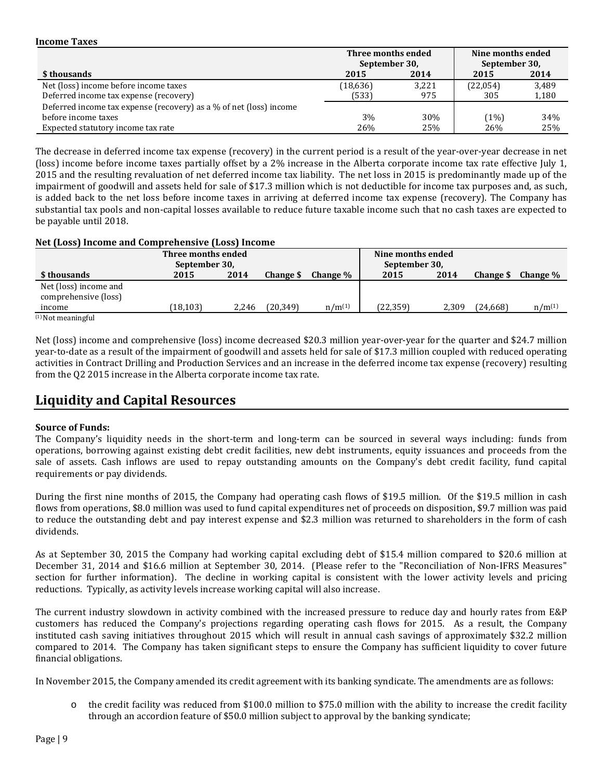#### **Income Taxes**

|                                                                    | Three months ended<br>September 30, |       | Nine months ended<br>September 30, |       |
|--------------------------------------------------------------------|-------------------------------------|-------|------------------------------------|-------|
| \$ thousands                                                       | 2015                                | 2014  | 2015                               | 2014  |
| Net (loss) income before income taxes                              | (18, 636)                           | 3,221 | (22,054)                           | 3,489 |
| Deferred income tax expense (recovery)                             | (533)                               | 975   | 305                                | 1,180 |
| Deferred income tax expense (recovery) as a % of net (loss) income |                                     |       |                                    |       |
| before income taxes                                                | 3%                                  | 30%   | (1%)                               | 34%   |
| Expected statutory income tax rate                                 | 26%                                 | 25%   | 26%                                | 25%   |

The decrease in deferred income tax expense (recovery) in the current period is a result of the year-over-year decrease in net (loss) income before income taxes partially offset by a 2% increase in the Alberta corporate income tax rate effective July 1, 2015 and the resulting revaluation of net deferred income tax liability. The net loss in 2015 is predominantly made up of the impairment of goodwill and assets held for sale of \$17.3 million which is not deductible for income tax purposes and, as such, is added back to the net loss before income taxes in arriving at deferred income tax expense (recovery). The Company has substantial tax pools and non-capital losses available to reduce future taxable income such that no cash taxes are expected to be payable until 2018.

### **Net (Loss) Income and Comprehensive (Loss) Income**

| Three months ended<br>September 30,           |          |       |           |             | Nine months ended<br>September 30, |       |           |             |
|-----------------------------------------------|----------|-------|-----------|-------------|------------------------------------|-------|-----------|-------------|
| \$ thousands                                  | 2015     | 2014  | Change \$ | Change $\%$ | 2015                               | 2014  | Change \$ | Change %    |
| Net (loss) income and<br>comprehensive (loss) |          |       |           |             |                                    |       |           |             |
| income                                        | (18,103) | 2.246 | (20,349)  | $n/m^{(1)}$ | (22,359)                           | 2.309 | (24, 668) | $n/m^{(1)}$ |
| $(1)$ Not meaningful                          |          |       |           |             |                                    |       |           |             |

Net (loss) income and comprehensive (loss) income decreased \$20.3 million year-over-year for the quarter and \$24.7 million year-to-date as a result of the impairment of goodwill and assets held for sale of \$17.3 million coupled with reduced operating activities in Contract Drilling and Production Services and an increase in the deferred income tax expense (recovery) resulting from the Q2 2015 increase in the Alberta corporate income tax rate.

## **Liquidity and Capital Resources**

#### **Source of Funds:**

The Company's liquidity needs in the short-term and long-term can be sourced in several ways including: funds from operations, borrowing against existing debt credit facilities, new debt instruments, equity issuances and proceeds from the sale of assets. Cash inflows are used to repay outstanding amounts on the Company's debt credit facility, fund capital requirements or pay dividends.

During the first nine months of 2015, the Company had operating cash flows of \$19.5 million. Of the \$19.5 million in cash flows from operations, \$8.0 million was used to fund capital expenditures net of proceeds on disposition, \$9.7 million was paid to reduce the outstanding debt and pay interest expense and \$2.3 million was returned to shareholders in the form of cash dividends.

As at September 30, 2015 the Company had working capital excluding debt of \$15.4 million compared to \$20.6 million at December 31, 2014 and \$16.6 million at September 30, 2014. (Please refer to the "Reconciliation of Non-IFRS Measures" section for further information). The decline in working capital is consistent with the lower activity levels and pricing reductions. Typically, as activity levels increase working capital will also increase.

The current industry slowdown in activity combined with the increased pressure to reduce day and hourly rates from E&P customers has reduced the Company's projections regarding operating cash flows for 2015. As a result, the Company instituted cash saving initiatives throughout 2015 which will result in annual cash savings of approximately \$32.2 million compared to 2014. The Company has taken significant steps to ensure the Company has sufficient liquidity to cover future financial obligations.

In November 2015, the Company amended its credit agreement with its banking syndicate. The amendments are as follows:

o the credit facility was reduced from \$100.0 million to \$75.0 million with the ability to increase the credit facility through an accordion feature of \$50.0 million subject to approval by the banking syndicate;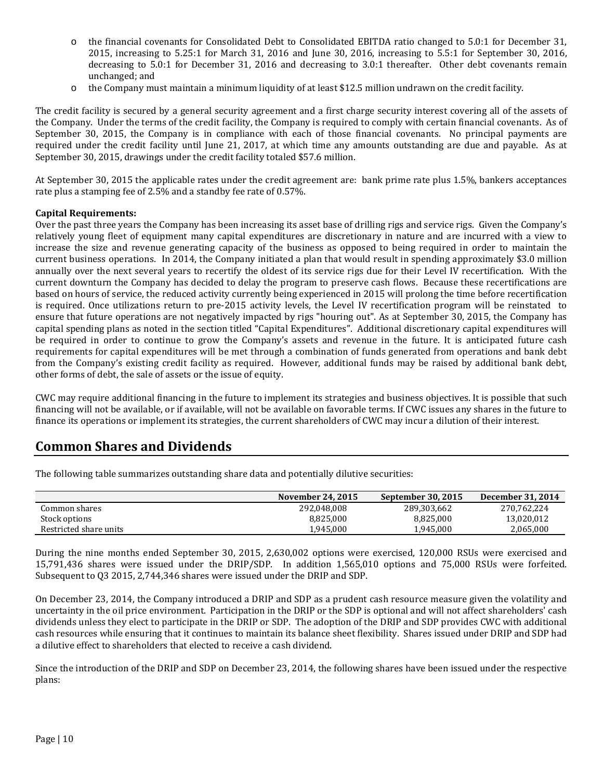- o the financial covenants for Consolidated Debt to Consolidated EBITDA ratio changed to 5.0:1 for December 31, 2015, increasing to 5.25:1 for March 31, 2016 and June 30, 2016, increasing to 5.5:1 for September 30, 2016, decreasing to 5.0:1 for December 31, 2016 and decreasing to 3.0:1 thereafter. Other debt covenants remain unchanged; and
- $\circ$  the Company must maintain a minimum liquidity of at least \$12.5 million undrawn on the credit facility.

The credit facility is secured by a general security agreement and a first charge security interest covering all of the assets of the Company. Under the terms of the credit facility, the Company is required to comply with certain financial covenants. As of September 30, 2015, the Company is in compliance with each of those financial covenants. No principal payments are required under the credit facility until June 21, 2017, at which time any amounts outstanding are due and payable. As at September 30, 2015, drawings under the credit facility totaled \$57.6 million.

At September 30, 2015 the applicable rates under the credit agreement are: bank prime rate plus 1.5%, bankers acceptances rate plus a stamping fee of 2.5% and a standby fee rate of 0.57%.

### **Capital Requirements:**

Over the past three years the Company has been increasing its asset base of drilling rigs and service rigs. Given the Company's relatively young fleet of equipment many capital expenditures are discretionary in nature and are incurred with a view to increase the size and revenue generating capacity of the business as opposed to being required in order to maintain the current business operations. In 2014, the Company initiated a plan that would result in spending approximately \$3.0 million annually over the next several years to recertify the oldest of its service rigs due for their Level IV recertification. With the current downturn the Company has decided to delay the program to preserve cash flows. Because these recertifications are based on hours of service, the reduced activity currently being experienced in 2015 will prolong the time before recertification is required. Once utilizations return to pre-2015 activity levels, the Level IV recertification program will be reinstated to ensure that future operations are not negatively impacted by rigs "houring out". As at September 30, 2015, the Company has capital spending plans as noted in the section titled "Capital Expenditures". Additional discretionary capital expenditures will be required in order to continue to grow the Company's assets and revenue in the future. It is anticipated future cash requirements for capital expenditures will be met through a combination of funds generated from operations and bank debt from the Company's existing credit facility as required. However, additional funds may be raised by additional bank debt, other forms of debt, the sale of assets or the issue of equity.

CWC may require additional financing in the future to implement its strategies and business objectives. It is possible that such financing will not be available, or if available, will not be available on favorable terms. If CWC issues any shares in the future to finance its operations or implement its strategies, the current shareholders of CWC may incur a dilution of their interest.

### **Common Shares and Dividends**

The following table summarizes outstanding share data and potentially dilutive securities:

|                        | November 24, 2015 | September 30, 2015 | December 31, 2014 |
|------------------------|-------------------|--------------------|-------------------|
| Common shares          | 292.048.008       | 289,303,662        | 270.762.224       |
| Stock options          | 8,825,000         | 8,825,000          | 13,020,012        |
| Restricted share units | 1.945.000         | 1,945,000          | 2,065,000         |

During the nine months ended September 30, 2015, 2,630,002 options were exercised, 120,000 RSUs were exercised and 15,791,436 shares were issued under the DRIP/SDP. In addition 1,565,010 options and 75,000 RSUs were forfeited. Subsequent to Q3 2015, 2,744,346 shares were issued under the DRIP and SDP.

On December 23, 2014, the Company introduced a DRIP and SDP as a prudent cash resource measure given the volatility and uncertainty in the oil price environment. Participation in the DRIP or the SDP is optional and will not affect shareholders' cash dividends unless they elect to participate in the DRIP or SDP. The adoption of the DRIP and SDP provides CWC with additional cash resources while ensuring that it continues to maintain its balance sheet flexibility. Shares issued under DRIP and SDP had a dilutive effect to shareholders that elected to receive a cash dividend.

Since the introduction of the DRIP and SDP on December 23, 2014, the following shares have been issued under the respective plans: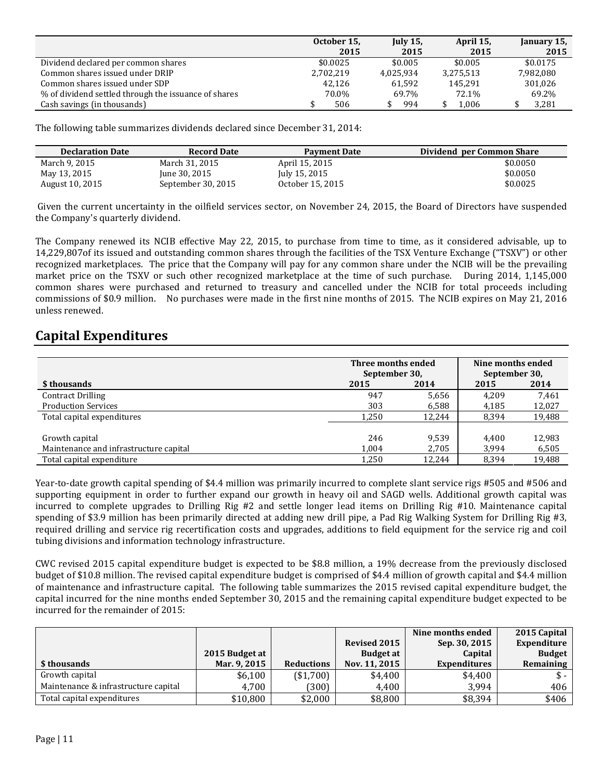|                                                      | October 15, | <b>July 15.</b> | April 15, | January 15, |
|------------------------------------------------------|-------------|-----------------|-----------|-------------|
|                                                      | 2015        | 2015            | 2015      | 2015        |
| Dividend declared per common shares                  | \$0.0025    | \$0.005         | \$0.005   | \$0.0175    |
| Common shares issued under DRIP                      | 2,702,219   | 4,025,934       | 3,275,513 | 7,982,080   |
| Common shares issued under SDP                       | 42.126      | 61.592          | 145.291   | 301.026     |
| % of dividend settled through the issuance of shares | 70.0%       | 69.7%           | 72.1%     | 69.2%       |
| Cash savings (in thousands)                          | 506         | 994             | 1.006     | 3,281       |

The following table summarizes dividends declared since December 31, 2014:

| <b>Declaration Date</b> | <b>Record Date</b> | <b>Payment Date</b> | Dividend per Common Share |
|-------------------------|--------------------|---------------------|---------------------------|
| March 9, 2015           | March 31, 2015     | April 15, 2015      | \$0.0050                  |
| May 13, 2015            | June 30, 2015      | July 15, 2015       | \$0.0050                  |
| August 10, 2015         | September 30, 2015 | October 15, 2015    | \$0.0025                  |

Given the current uncertainty in the oilfield services sector, on November 24, 2015, the Board of Directors have suspended the Company's quarterly dividend.

The Company renewed its NCIB effective May 22, 2015, to purchase from time to time, as it considered advisable, up to 14,229,807of its issued and outstanding common shares through the facilities of the TSX Venture Exchange ("TSXV") or other recognized marketplaces. The price that the Company will pay for any common share under the NCIB will be the prevailing market price on the TSXV or such other recognized marketplace at the time of such purchase. During 2014, 1,145,000 common shares were purchased and returned to treasury and cancelled under the NCIB for total proceeds including commissions of \$0.9 million. No purchases were made in the first nine months of 2015. The NCIB expires on May 21, 2016 unless renewed.

## **Capital Expenditures**

|                                        | Three months ended<br>September 30, |        | Nine months ended<br>September 30, |        |  |
|----------------------------------------|-------------------------------------|--------|------------------------------------|--------|--|
| \$ thousands                           | 2015                                | 2014   | 2015                               | 2014   |  |
| <b>Contract Drilling</b>               | 947                                 | 5,656  | 4.209                              | 7,461  |  |
| <b>Production Services</b>             | 303                                 | 6,588  | 4,185                              | 12,027 |  |
| Total capital expenditures             | 1,250                               | 12.244 | 8,394                              | 19,488 |  |
|                                        |                                     |        |                                    |        |  |
| Growth capital                         | 246                                 | 9.539  | 4.400                              | 12,983 |  |
| Maintenance and infrastructure capital | 1.004                               | 2.705  | 3.994                              | 6,505  |  |
| Total capital expenditure              | 1,250                               | 12,244 | 8.394                              | 19,488 |  |

Year-to-date growth capital spending of \$4.4 million was primarily incurred to complete slant service rigs #505 and #506 and supporting equipment in order to further expand our growth in heavy oil and SAGD wells. Additional growth capital was incurred to complete upgrades to Drilling Rig #2 and settle longer lead items on Drilling Rig #10. Maintenance capital spending of \$3.9 million has been primarily directed at adding new drill pipe, a Pad Rig Walking System for Drilling Rig #3, required drilling and service rig recertification costs and upgrades, additions to field equipment for the service rig and coil tubing divisions and information technology infrastructure.

CWC revised 2015 capital expenditure budget is expected to be \$8.8 million, a 19% decrease from the previously disclosed budget of \$10.8 million. The revised capital expenditure budget is comprised of \$4.4 million of growth capital and \$4.4 million of maintenance and infrastructure capital. The following table summarizes the 2015 revised capital expenditure budget, the capital incurred for the nine months ended September 30, 2015 and the remaining capital expenditure budget expected to be incurred for the remainder of 2015:

|                                      |                |                   |                     | Nine months ended   | 2015 Capital   |
|--------------------------------------|----------------|-------------------|---------------------|---------------------|----------------|
|                                      |                |                   | <b>Revised 2015</b> | Sep. 30, 2015       | Expenditure    |
|                                      | 2015 Budget at |                   | Budget at           | Capital             | <b>Budget</b>  |
| \$ thousands                         | Mar. 9, 2015   | <b>Reductions</b> | Nov. 11, 2015       | <b>Expenditures</b> | Remaining      |
| Growth capital                       | \$6,100        | (\$1,700)         | \$4,400             | \$4,400             | $\mathbb{S}$ - |
| Maintenance & infrastructure capital | 4.700          | (300)             | 4,400               | 3.994               | 406            |
| Total capital expenditures           | \$10,800       | \$2,000           | \$8,800             | \$8,394             | \$406          |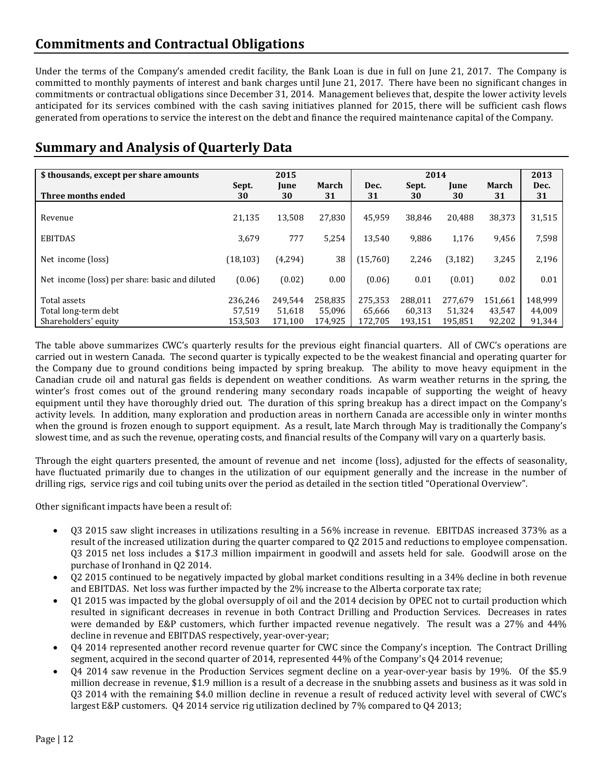## **Commitments and Contractual Obligations**

Under the terms of the Company's amended credit facility, the Bank Loan is due in full on June 21, 2017. The Company is committed to monthly payments of interest and bank charges until June 21, 2017. There have been no significant changes in commitments or contractual obligations since December 31, 2014. Management believes that, despite the lower activity levels anticipated for its services combined with the cash saving initiatives planned for 2015, there will be sufficient cash flows generated from operations to service the interest on the debt and finance the required maintenance capital of the Company.

# **Summary and Analysis of Quarterly Data**

| \$ thousands, except per share amounts                       |                              | 2015                         |                              |                              | 2014                         |                              |                             | 2013                        |
|--------------------------------------------------------------|------------------------------|------------------------------|------------------------------|------------------------------|------------------------------|------------------------------|-----------------------------|-----------------------------|
| Three months ended                                           | Sept.<br>30                  | June<br>30                   | March<br>31                  | Dec.<br>31                   | Sept.<br>30                  | <b>Iune</b><br>30            | March<br>31                 | Dec.<br>31                  |
| Revenue                                                      | 21,135                       | 13,508                       | 27.830                       | 45.959                       | 38,846                       | 20.488                       | 38,373                      | 31,515                      |
| <b>EBITDAS</b>                                               | 3,679                        | 777                          | 5,254                        | 13.540                       | 9,886                        | 1,176                        | 9,456                       | 7,598                       |
| Net income (loss)                                            | (18, 103)                    | (4, 294)                     | 38                           | (15,760)                     | 2,246                        | (3, 182)                     | 3,245                       | 2,196                       |
| Net income (loss) per share: basic and diluted               | (0.06)                       | (0.02)                       | 0.00                         | (0.06)                       | 0.01                         | (0.01)                       | 0.02                        | 0.01                        |
| Total assets<br>Total long-term debt<br>Shareholders' equity | 236,246<br>57.519<br>153.503 | 249.544<br>51.618<br>171,100 | 258,835<br>55.096<br>174,925 | 275,353<br>65.666<br>172,705 | 288,011<br>60.313<br>193,151 | 277,679<br>51.324<br>195,851 | 151,661<br>43.547<br>92,202 | 148,999<br>44,009<br>91,344 |

The table above summarizes CWC's quarterly results for the previous eight financial quarters. All of CWC's operations are carried out in western Canada. The second quarter is typically expected to be the weakest financial and operating quarter for the Company due to ground conditions being impacted by spring breakup. The ability to move heavy equipment in the Canadian crude oil and natural gas fields is dependent on weather conditions. As warm weather returns in the spring, the winter's frost comes out of the ground rendering many secondary roads incapable of supporting the weight of heavy equipment until they have thoroughly dried out. The duration of this spring breakup has a direct impact on the Company's activity levels. In addition, many exploration and production areas in northern Canada are accessible only in winter months when the ground is frozen enough to support equipment. As a result, late March through May is traditionally the Company's slowest time, and as such the revenue, operating costs, and financial results of the Company will vary on a quarterly basis.

Through the eight quarters presented, the amount of revenue and net income (loss), adjusted for the effects of seasonality, have fluctuated primarily due to changes in the utilization of our equipment generally and the increase in the number of drilling rigs, service rigs and coil tubing units over the period as detailed in the section titled "Operational Overview".

Other significant impacts have been a result of:

- Q3 2015 saw slight increases in utilizations resulting in a 56% increase in revenue. EBITDAS increased 373% as a result of the increased utilization during the quarter compared to Q2 2015 and reductions to employee compensation. Q3 2015 net loss includes a \$17.3 million impairment in goodwill and assets held for sale. Goodwill arose on the purchase of Ironhand in Q2 2014.
- Q2 2015 continued to be negatively impacted by global market conditions resulting in a 34% decline in both revenue and EBITDAS. Net loss was further impacted by the 2% increase to the Alberta corporate tax rate;
- Q1 2015 was impacted by the global oversupply of oil and the 2014 decision by OPEC not to curtail production which resulted in significant decreases in revenue in both Contract Drilling and Production Services. Decreases in rates were demanded by E&P customers, which further impacted revenue negatively. The result was a 27% and 44% decline in revenue and EBITDAS respectively, year-over-year;
- Q4 2014 represented another record revenue quarter for CWC since the Company's inception. The Contract Drilling segment, acquired in the second quarter of 2014, represented 44% of the Company's Q4 2014 revenue;
- Q4 2014 saw revenue in the Production Services segment decline on a year-over-year basis by 19%. Of the \$5.9 million decrease in revenue, \$1.9 million is a result of a decrease in the snubbing assets and business as it was sold in Q3 2014 with the remaining \$4.0 million decline in revenue a result of reduced activity level with several of CWC's largest E&P customers. Q4 2014 service rig utilization declined by 7% compared to Q4 2013;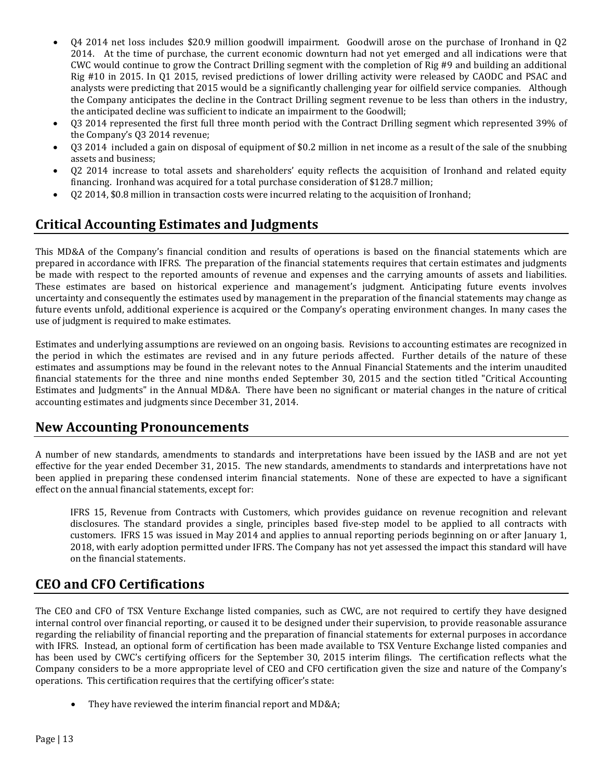- Q4 2014 net loss includes \$20.9 million goodwill impairment. Goodwill arose on the purchase of Ironhand in Q2 2014. At the time of purchase, the current economic downturn had not yet emerged and all indications were that CWC would continue to grow the Contract Drilling segment with the completion of Rig #9 and building an additional Rig #10 in 2015. In Q1 2015, revised predictions of lower drilling activity were released by CAODC and PSAC and analysts were predicting that 2015 would be a significantly challenging year for oilfield service companies. Although the Company anticipates the decline in the Contract Drilling segment revenue to be less than others in the industry, the anticipated decline was sufficient to indicate an impairment to the Goodwill;
- Q3 2014 represented the first full three month period with the Contract Drilling segment which represented 39% of the Company's Q3 2014 revenue;
- Q3 2014 included a gain on disposal of equipment of \$0.2 million in net income as a result of the sale of the snubbing assets and business;
- Q2 2014 increase to total assets and shareholders' equity reflects the acquisition of Ironhand and related equity financing. Ironhand was acquired for a total purchase consideration of \$128.7 million;
- Q2 2014, \$0.8 million in transaction costs were incurred relating to the acquisition of Ironhand;

# **Critical Accounting Estimates and Judgments**

This MD&A of the Company's financial condition and results of operations is based on the financial statements which are prepared in accordance with IFRS. The preparation of the financial statements requires that certain estimates and judgments be made with respect to the reported amounts of revenue and expenses and the carrying amounts of assets and liabilities. These estimates are based on historical experience and management's judgment. Anticipating future events involves uncertainty and consequently the estimates used by management in the preparation of the financial statements may change as future events unfold, additional experience is acquired or the Company's operating environment changes. In many cases the use of judgment is required to make estimates.

Estimates and underlying assumptions are reviewed on an ongoing basis. Revisions to accounting estimates are recognized in the period in which the estimates are revised and in any future periods affected. Further details of the nature of these estimates and assumptions may be found in the relevant notes to the Annual Financial Statements and the interim unaudited financial statements for the three and nine months ended September 30, 2015 and the section titled "Critical Accounting Estimates and Judgments" in the Annual MD&A. There have been no significant or material changes in the nature of critical accounting estimates and judgments since December 31, 2014.

### **New Accounting Pronouncements**

A number of new standards, amendments to standards and interpretations have been issued by the IASB and are not yet effective for the year ended December 31, 2015. The new standards, amendments to standards and interpretations have not been applied in preparing these condensed interim financial statements. None of these are expected to have a significant effect on the annual financial statements, except for:

IFRS 15, Revenue from Contracts with Customers, which provides guidance on revenue recognition and relevant disclosures. The standard provides a single, principles based five-step model to be applied to all contracts with customers. IFRS 15 was issued in May 2014 and applies to annual reporting periods beginning on or after January 1, 2018, with early adoption permitted under IFRS. The Company has not yet assessed the impact this standard will have on the financial statements.

## **CEO and CFO Certifications**

The CEO and CFO of TSX Venture Exchange listed companies, such as CWC, are not required to certify they have designed internal control over financial reporting, or caused it to be designed under their supervision, to provide reasonable assurance regarding the reliability of financial reporting and the preparation of financial statements for external purposes in accordance with IFRS. Instead, an optional form of certification has been made available to TSX Venture Exchange listed companies and has been used by CWC's certifying officers for the September 30, 2015 interim filings. The certification reflects what the Company considers to be a more appropriate level of CEO and CFO certification given the size and nature of the Company's operations. This certification requires that the certifying officer's state:

• They have reviewed the interim financial report and MD&A;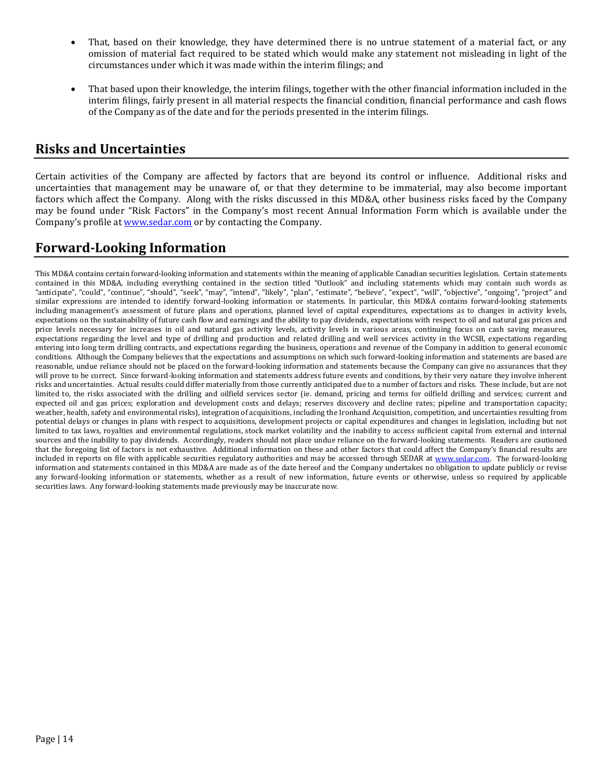- That, based on their knowledge, they have determined there is no untrue statement of a material fact, or any omission of material fact required to be stated which would make any statement not misleading in light of the circumstances under which it was made within the interim filings; and
- That based upon their knowledge, the interim filings, together with the other financial information included in the interim filings, fairly present in all material respects the financial condition, financial performance and cash flows of the Company as of the date and for the periods presented in the interim filings.

### **Risks and Uncertainties**

Certain activities of the Company are affected by factors that are beyond its control or influence. Additional risks and uncertainties that management may be unaware of, or that they determine to be immaterial, may also become important factors which affect the Company. Along with the risks discussed in this MD&A, other business risks faced by the Company may be found under "Risk Factors" in the Company's most recent Annual Information Form which is available under the Company's profile at [www.sedar.com](http://www.sedar.com/) or by contacting the Company.

## **Forward-Looking Information**

This MD&A contains certain forward-looking information and statements within the meaning of applicable Canadian securities legislation. Certain statements contained in this MD&A, including everything contained in the section titled "Outlook" and including statements which may contain such words as "anticipate", "could", "continue", "should", "seek", "may", "intend", "likely", "plan", "estimate", "believe", "expect", "will", "objective", "ongoing", "project" and similar expressions are intended to identify forward-looking information or statements. In particular, this MD&A contains forward-looking statements including management's assessment of future plans and operations, planned level of capital expenditures, expectations as to changes in activity levels, expectations on the sustainability of future cash flow and earnings and the ability to pay dividends, expectations with respect to oil and natural gas prices and price levels necessary for increases in oil and natural gas activity levels, activity levels in various areas, continuing focus on cash saving measures, expectations regarding the level and type of drilling and production and related drilling and well services activity in the WCSB, expectations regarding entering into long term drilling contracts, and expectations regarding the business, operations and revenue of the Company in addition to general economic conditions. Although the Company believes that the expectations and assumptions on which such forward-looking information and statements are based are reasonable, undue reliance should not be placed on the forward-looking information and statements because the Company can give no assurances that they will prove to be correct. Since forward-looking information and statements address future events and conditions, by their very nature they involve inherent risks and uncertainties. Actual results could differ materially from those currently anticipated due to a number of factors and risks. These include, but are not limited to, the risks associated with the drilling and oilfield services sector (ie. demand, pricing and terms for oilfield drilling and services; current and expected oil and gas prices; exploration and development costs and delays; reserves discovery and decline rates; pipeline and transportation capacity; weather, health, safety and environmental risks), integration of acquisitions, including the Ironhand Acquisition, competition, and uncertainties resulting from potential delays or changes in plans with respect to acquisitions, development projects or capital expenditures and changes in legislation, including but not limited to tax laws, royalties and environmental regulations, stock market volatility and the inability to access sufficient capital from external and internal sources and the inability to pay dividends. Accordingly, readers should not place undue reliance on the forward-looking statements. Readers are cautioned that the foregoing list of factors is not exhaustive. Additional information on these and other factors that could affect the Company's financial results are included in reports on file with applicable securities regulatory authorities and may be accessed through SEDAR at [www.sedar.com.](http://www.sedar.com/) The forward-looking information and statements contained in this MD&A are made as of the date hereof and the Company undertakes no obligation to update publicly or revise any forward-looking information or statements, whether as a result of new information, future events or otherwise, unless so required by applicable securities laws. Any forward-looking statements made previously may be inaccurate now.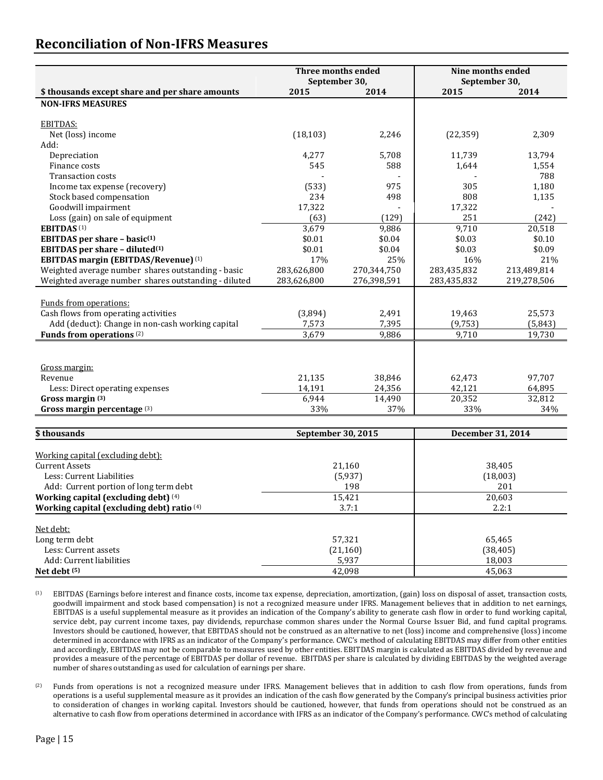## **Reconciliation of Non-IFRS Measures**

|                                                      | Three months ended<br>September 30, |             | Nine months ended<br>September 30, |             |
|------------------------------------------------------|-------------------------------------|-------------|------------------------------------|-------------|
| \$ thousands except share and per share amounts      | 2015                                | 2014        | 2015                               | 2014        |
| <b>NON-IFRS MEASURES</b>                             |                                     |             |                                    |             |
|                                                      |                                     |             |                                    |             |
| <b>EBITDAS:</b>                                      |                                     |             |                                    |             |
| Net (loss) income                                    | (18, 103)                           | 2,246       | (22, 359)                          | 2,309       |
| Add:                                                 |                                     |             |                                    |             |
| Depreciation                                         | 4,277                               | 5,708       | 11,739                             | 13,794      |
| Finance costs                                        | 545                                 | 588         | 1,644                              | 1,554       |
| <b>Transaction costs</b>                             |                                     |             |                                    | 788         |
| Income tax expense (recovery)                        | (533)                               | 975         | 305                                | 1,180       |
| Stock based compensation                             | 234                                 | 498         | 808                                | 1,135       |
| Goodwill impairment                                  | 17,322                              |             | 17,322                             |             |
| Loss (gain) on sale of equipment                     | (63)                                | (129)       | 251                                | (242)       |
| <b>EBITDAS</b> <sup>(1)</sup>                        | 3,679                               | 9,886       | 9,710                              | 20,518      |
| EBITDAS per share - basic $(1)$                      | \$0.01                              | \$0.04      | \$0.03                             | \$0.10      |
| EBITDAS per share - diluted <sup>(1)</sup>           | \$0.01                              | \$0.04      | \$0.03                             | \$0.09      |
| <b>EBITDAS margin (EBITDAS/Revenue)</b> (1)          | 17%                                 | 25%         | 16%                                | 21%         |
| Weighted average number shares outstanding - basic   | 283,626,800                         | 270,344,750 | 283,435,832                        | 213,489,814 |
| Weighted average number shares outstanding - diluted | 283,626,800                         | 276,398,591 | 283,435,832                        | 219,278,506 |
|                                                      |                                     |             |                                    |             |
| Funds from operations:                               |                                     |             |                                    |             |
| Cash flows from operating activities                 | (3,894)                             | 2,491       | 19,463                             | 25,573      |
| Add (deduct): Change in non-cash working capital     | 7,573                               | 7,395       | (9, 753)                           | (5, 843)    |
| Funds from operations <sup>(2)</sup>                 | 3,679                               | 9,886       | 9,710                              | 19,730      |
|                                                      |                                     |             |                                    |             |
|                                                      |                                     |             |                                    |             |
| Gross margin:                                        |                                     |             |                                    |             |
| Revenue                                              | 21,135                              | 38,846      | 62,473                             | 97,707      |
| Less: Direct operating expenses                      | 14,191                              | 24,356      | 42,121                             | 64,895      |
| Gross margin (3)                                     | 6,944                               | 14,490      | 20,352                             | 32,812      |
| Gross margin percentage (3)                          | 33%                                 | 37%         | 33%                                | 34%         |

| \$ thousands                               | September 30, 2015 | December 31, 2014 |
|--------------------------------------------|--------------------|-------------------|
|                                            |                    |                   |
| Working capital (excluding debt):          |                    |                   |
| Current Assets                             | 21,160             | 38,405            |
| Less: Current Liabilities                  | (5,937)            | (18,003)          |
| Add: Current portion of long term debt     | 198                | 201               |
| Working capital (excluding debt) (4)       | 15,421             | 20,603            |
| Working capital (excluding debt) ratio (4) | 3.7:1              | 2.2:1             |
| Net debt:                                  |                    |                   |
| Long term debt                             | 57,321             | 65,465            |
| Less: Current assets                       | (21, 160)          | (38, 405)         |
| Add: Current liabilities                   | 5,937              | 18,003            |
| Net debt $(5)$                             | 42.098             | 45,063            |

(1) EBITDAS (Earnings before interest and finance costs, income tax expense, depreciation, amortization, (gain) loss on disposal of asset, transaction costs, goodwill impairment and stock based compensation) is not a recognized measure under IFRS. Management believes that in addition to net earnings, EBITDAS is a useful supplemental measure as it provides an indication of the Company's ability to generate cash flow in order to fund working capital, service debt, pay current income taxes, pay dividends, repurchase common shares under the Normal Course Issuer Bid, and fund capital programs. Investors should be cautioned, however, that EBITDAS should not be construed as an alternative to net (loss) income and comprehensive (loss) income determined in accordance with IFRS as an indicator of the Company's performance. CWC's method of calculating EBITDAS may differ from other entities and accordingly, EBITDAS may not be comparable to measures used by other entities. EBITDAS margin is calculated as EBITDAS divided by revenue and provides a measure of the percentage of EBITDAS per dollar of revenue. EBITDAS per share is calculated by dividing EBITDAS by the weighted average number of shares outstanding as used for calculation of earnings per share.

<sup>(2)</sup> Funds from operations is not a recognized measure under IFRS. Management believes that in addition to cash flow from operations, funds from operations is a useful supplemental measure as it provides an indication of the cash flow generated by the Company's principal business activities prior to consideration of changes in working capital. Investors should be cautioned, however, that funds from operations should not be construed as an alternative to cash flow from operations determined in accordance with IFRS as an indicator of the Company's performance. CWC's method of calculating